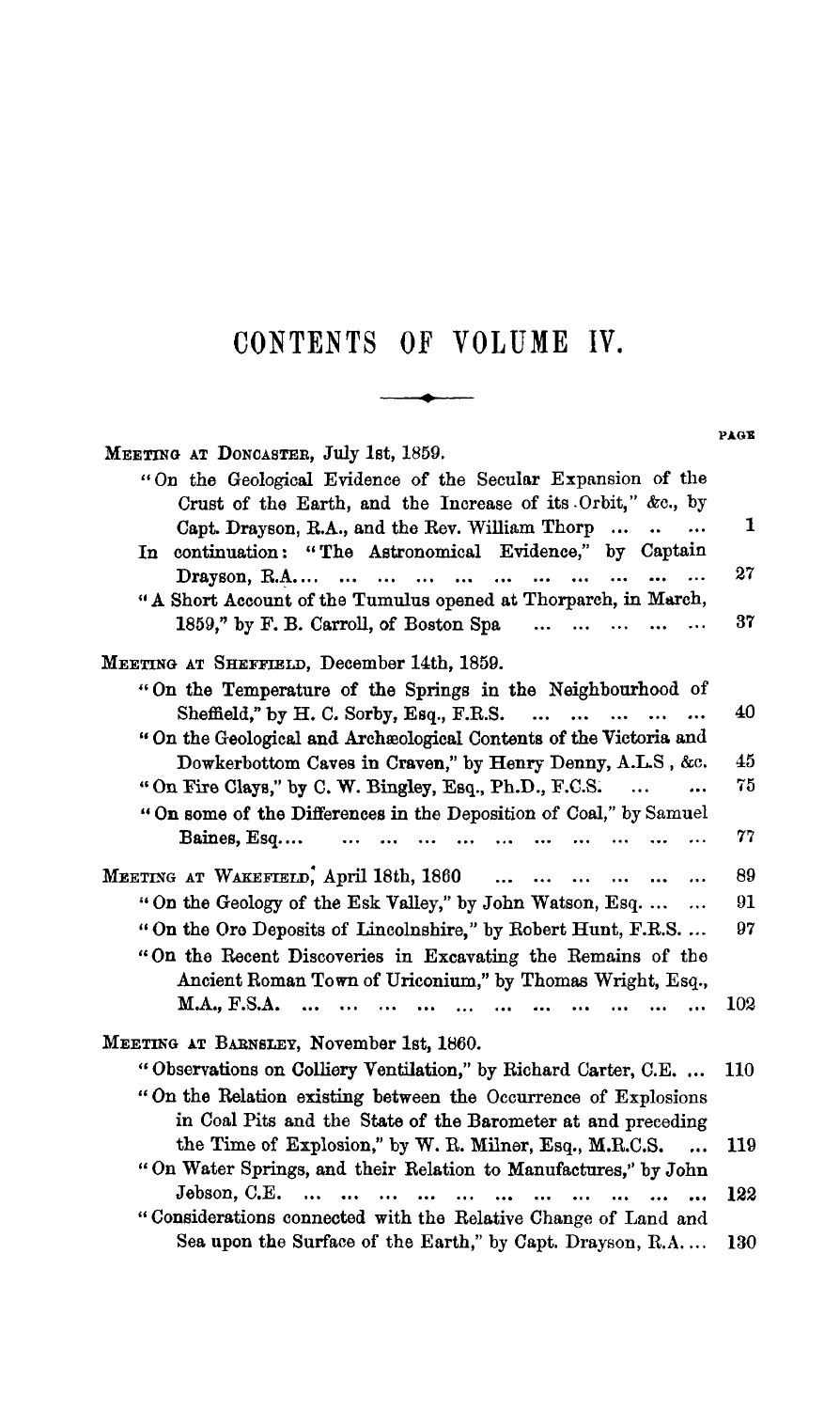## **CONTENTS OF VOLUME IV.**

 $\qquad \qquad \overbrace{\qquad \qquad }^{}$ 

|                                                                                | PAGE |
|--------------------------------------------------------------------------------|------|
| MEETING AT DONCASTER, July 1st, 1859.                                          |      |
| "On the Geological Evidence of the Secular Expansion of the                    |      |
| Crust of the Earth, and the Increase of its Orbit," &c., by                    |      |
| Capt. Drayson, R.A., and the Rev. William Thorp<br>$\ddot{\phantom{a}}$        | 1    |
| In continuation: "The Astronomical Evidence," by Captain                       |      |
| $Drayson, R.A. \ldots$<br>$\ddotsc$<br>$\dddotsc$<br>$\ddotsc$<br>$\cdots$<br> | 27   |
| "A Short Account of the Tumulus opened at Thorparch, in March,                 |      |
| 1859," by F. B. Carroll, of Boston Spa<br>$\ddotsc$                            | 37   |
| MEETING AT SHEFFIELD, December 14th, 1859.                                     |      |
| "On the Temperature of the Springs in the Neighbourhood of                     |      |
| Sheffield," by H. C. Sorby, Esq., F.R.S.<br>$\ddotsc$                          | 40   |
| "On the Geological and Archaeological Contents of the Victoria and             |      |
| Dowkerbottom Caves in Craven," by Henry Denny, A.L.S., &c.                     | 45   |
| "On Fire Clays," by C. W. Bingley, Esq., Ph.D., F.C.S.                         | 75   |
| "On some of the Differences in the Deposition of Coal," by Samuel              |      |
| Baines, Esq<br>$\ddotsc$                                                       | 77   |
|                                                                                |      |
| MEETING AT WAKEFIELD, April 18th, 1860<br>$\ddotsc$<br>$\cdots$<br>            | 89   |
| "On the Geology of the Esk Valley," by John Watson, Esq.<br>                   | 91   |
| "On the Ore Deposits of Lincolnshire," by Robert Hunt, F.R.S                   | 97   |
| "On the Recent Discoveries in Excavating the Remains of the                    |      |
| Ancient Roman Town of Uriconium," by Thomas Wright, Esq.,                      |      |
| M.A., F.S.A.<br>$\ddotsc$                                                      | 102  |
|                                                                                |      |
| MEETING AT BARNSLEY, November 1st, 1860.                                       |      |
| "Observations on Colliery Ventilation," by Richard Carter, C.E.                | 110  |
| "On the Relation existing between the Occurrence of Explosions                 |      |
| in Coal Pits and the State of the Barometer at and preceding                   |      |
| the Time of Explosion," by W. R. Milner, Esq., M.R.C.S.<br>$\ddotsc$           | 119  |
| "On Water Springs, and their Relation to Manufactures," by John                |      |
| Jebson, C.E.<br>$\ddotsc$                                                      | 122  |
| "Considerations connected with the Relative Change of Land and                 |      |
| Sea upon the Surface of the Earth," by Capt. Drayson, R.A                      | 130  |
|                                                                                |      |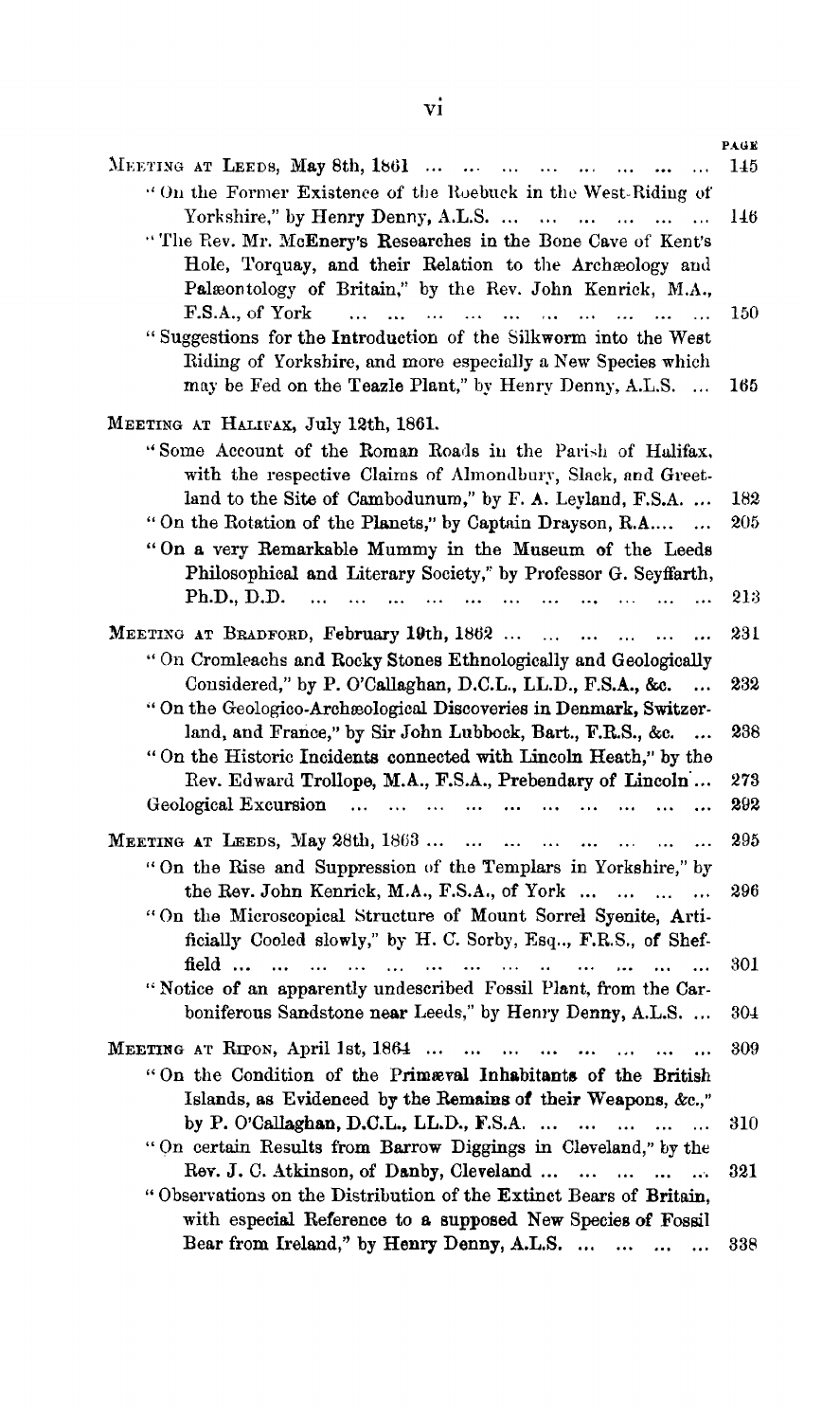| MEETING AT LEEDS, May 8th, 1861                                                                                                                                                        | PAGE<br>145 |
|----------------------------------------------------------------------------------------------------------------------------------------------------------------------------------------|-------------|
| "On the Former Existence of the Roebuck in the West-Riding of                                                                                                                          |             |
| Yorkshire," by Henry Denny, A.L.S.<br>$\cdots$<br>$\ddotsc$                                                                                                                            | 146         |
| $\ddotsc$<br>"The Rev. Mr. McEnery's Researches in the Bone Cave of Kent's                                                                                                             |             |
|                                                                                                                                                                                        |             |
| Hole, Torquay, and their Relation to the Archaeology and                                                                                                                               |             |
| Palæontology of Britain," by the Rev. John Kenrick, M.A.,                                                                                                                              |             |
| F.S.A., of York<br>$\ddotsc$<br>$\dddotsc$<br>$\cdots$<br>$\dddotsc$<br>$\ddot{\phantom{a}}$<br>$\ddotsc$<br>$\mathbf{r}$<br>$\ddot{\phantom{a}}$<br>$\ddot{\phantom{a}}$<br>$\ddotsc$ | 150         |
| "Suggestions for the Introduction of the Silkworm into the West                                                                                                                        |             |
| Riding of Yorkshire, and more especially a New Species which                                                                                                                           |             |
| may be Fed on the Teazle Plant," by Henry Denny, A.L.S.                                                                                                                                | 165         |
| MEETING AT HALIFAX, July 12th, 1861.                                                                                                                                                   |             |
| "Some Account of the Roman Roads in the Parish of Halifax.                                                                                                                             |             |
| with the respective Claims of Almondbury, Slack, and Greet-                                                                                                                            |             |
| land to the Site of Cambodunum," by F. A. Leyland, F.S.A.                                                                                                                              | 182         |
| "On the Rotation of the Planets," by Captain Drayson, R.A<br>$\ddotsc$                                                                                                                 | 205         |
|                                                                                                                                                                                        |             |
| "On a very Remarkable Mummy in the Museum of the Leeds                                                                                                                                 |             |
| Philosophical and Literary Society," by Professor G. Seyffarth,                                                                                                                        |             |
| Ph.D., D.D.<br>$\ddotsc$<br>$\ddotsc$<br>$\dddotsc$<br>$\mathbf{a}$<br>$\dddotsc$<br>$\dddotsc$                                                                                        | 213         |
| MEETING AT BRADFORD, February 19th, 1862                                                                                                                                               | 231         |
| "On Cromleachs and Rocky Stones Ethnologically and Geologically                                                                                                                        |             |
| Considered," by P. O'Callaghan, D.C.L., LL.D., F.S.A., &c.<br>                                                                                                                         | 232         |
| "On the Geologico-Archeological Discoveries in Denmark, Switzer-                                                                                                                       |             |
| land, and France," by Sir John Lubbock, Bart., F.R.S., &c.<br>$\dddotsc$                                                                                                               | 238         |
| "On the Historic Incidents connected with Lincoln Heath," by the                                                                                                                       |             |
| Rev. Edward Trollope, M.A., F.S.A., Prebendary of Lincoln                                                                                                                              | 273         |
| Geological Excursion<br>$\cdots$<br>$\mathbf{1}$ and $\mathbf{1}$ and $\mathbf{1}$<br>$\dddotsc$<br><br>$\ddotsc$                                                                      | 292         |
|                                                                                                                                                                                        |             |
| MEETING AT LEEDS, May 28th, 1863<br>$\cdots$<br>$\cdots$                                                                                                                               | 295         |
| "On the Rise and Suppression of the Templars in Yorkshire," by                                                                                                                         |             |
| the Rev. John Kenrick, M.A., F.S.A., of York<br>$\cdots$                                                                                                                               | 296         |
| "On the Microscopical Structure of Mount Sorrel Syenite, Arti-                                                                                                                         |             |
| ficially Cooled slowly," by H. C. Sorby, Esq.,, F.R.S., of Shef-                                                                                                                       |             |
| field<br>$\dddotsc$<br>$\ddot{\phantom{a}}$<br>$\ddotsc$<br>$\ddot{\phantom{a}}$<br>$\mathbf{r}$<br>$\cdots$<br>$\ddot{\phantom{a}}$<br>$\ddot{\phantom{a}}$<br>$\ddotsc$<br>$\ddotsc$ | 301         |
| "Notice of an apparently undescribed Fossil Plant, from the Car-                                                                                                                       |             |
| boniferous Sandstone near Leeds," by Henry Denny, A.L.S.                                                                                                                               | 304         |
| MEETING AT RIPON, April 1st, 1864<br>$\ddotsc$<br>                                                                                                                                     | 309         |
| "On the Condition of the Primæral Inhabitants of the British                                                                                                                           |             |
| Islands, as Evidenced by the Remains of their Weapons, &c.,"                                                                                                                           |             |
| by P. O'Callaghan, D.C.L., LL.D., F.S.A.                                                                                                                                               | 310         |
| $\cdots$<br>$\cdots$ $\cdots$<br>$\ddotsc$<br>"On certain Results from Barrow Diggings in Cleveland," by the                                                                           |             |
|                                                                                                                                                                                        |             |
| Rev. J. C. Atkinson, of Danby, Cleveland<br>$\cdots$<br>$\ddotsc$<br>$\ddotsc$<br>$\dddotsc$                                                                                           | 321         |
| "Observations on the Distribution of the Extinct Bears of Britain,                                                                                                                     |             |
| with especial Reference to a supposed New Species of Fossil                                                                                                                            |             |
| Bear from Ireland," by Henry Denny, A.L.S.<br>and the contract                                                                                                                         | 338         |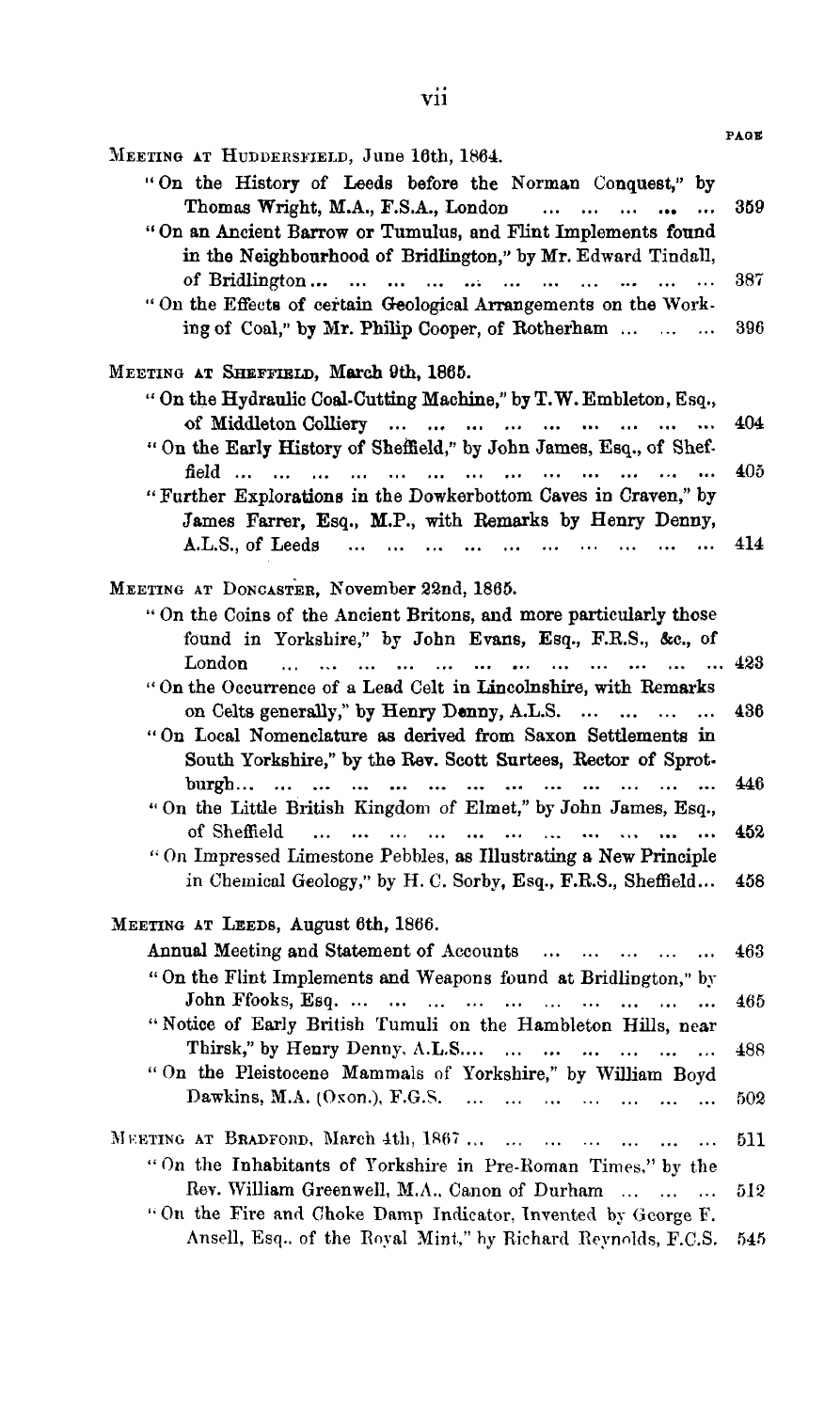|                                                                                                                                                                                                                                                            | PAGE |
|------------------------------------------------------------------------------------------------------------------------------------------------------------------------------------------------------------------------------------------------------------|------|
| MEETING AT HUDDERSFIELD, June 16th, 1864.                                                                                                                                                                                                                  |      |
| "On the History of Leeds before the Norman Conquest," by                                                                                                                                                                                                   |      |
| Thomas Wright, M.A., F.S.A., London<br>and the same<br>$\cdots$                                                                                                                                                                                            | 359  |
| "On an Ancient Barrow or Tumulus, and Flint Implements found                                                                                                                                                                                               |      |
| in the Neighbourhood of Bridlington," by Mr. Edward Tindall,                                                                                                                                                                                               |      |
| $\ddotsc$                                                                                                                                                                                                                                                  | 387  |
| "On the Effects of certain Geological Arrangements on the Work-                                                                                                                                                                                            |      |
| ing of Coal," by Mr. Philip Cooper, of Rotherham                                                                                                                                                                                                           | 396  |
| MEETING AT SHEFFIELD, March 9th, 1865.                                                                                                                                                                                                                     |      |
| " On the Hydraulic Coal-Cutting Machine," by T.W. Embleton, Esq.,                                                                                                                                                                                          |      |
|                                                                                                                                                                                                                                                            | 404  |
| "On the Early History of Sheffield," by John James, Esq., of Shef-                                                                                                                                                                                         |      |
| field<br>$\cdots$<br>$\cdots$<br>$\cdots$<br>$\ddotsc$<br>$\ddot{\phantom{a}}$<br>$\ddotsc$<br>$\cdots$                                                                                                                                                    | 405. |
| "Further Explorations in the Dowkerbottom Caves in Craven," by                                                                                                                                                                                             |      |
| James Farrer, Esq., M.P., with Remarks by Henry Denny,                                                                                                                                                                                                     |      |
| A.L.S., of Leeds<br>$\ldots \quad \ldots \quad \ldots \quad \ldots \quad \ldots$<br><br>$\cdots$<br>$\sim$<br>$\ddotsc$                                                                                                                                    | 414  |
|                                                                                                                                                                                                                                                            |      |
| MEETING AT DONCASTER, November 22nd, 1865.                                                                                                                                                                                                                 |      |
| "On the Coins of the Ancient Britons, and more particularly those                                                                                                                                                                                          |      |
| found in Yorkshire," by John Evans, Esq., F.R.S., &c., of                                                                                                                                                                                                  |      |
| London<br>$\ldots$ $\ldots$ $\ldots$ $\ldots$ 423<br>$\mathbf{r}$ . The state $\mathbf{r}$ and $\mathbf{r}$ and $\mathbf{r}$<br>$\cdots$<br>$\mathbf{r}$                                                                                                   |      |
| "On the Occurrence of a Lead Celt in Lincolnshire, with Remarks                                                                                                                                                                                            |      |
| on Celts generally," by Henry Denny, A.L.S.<br>$\ddotsc$<br>$\dddotsc$                                                                                                                                                                                     | 436  |
| "On Local Nomenclature as derived from Saxon Settlements in                                                                                                                                                                                                |      |
| South Yorkshire," by the Rev. Scott Surtees, Rector of Sprot-                                                                                                                                                                                              |      |
| $burnm.$                                                                                                                                                                                                                                                   | 446  |
| "On the Little British Kingdom of Elmet," by John James, Esq.,                                                                                                                                                                                             |      |
| of Sheffield<br>and the contract of the contract of the contract of the contract of the contract of the contract of the contract of the contract of the contract of the contract of the contract of the contract of the contract of the contra<br>$\cdots$ | 452  |
| "On Impressed Limestone Pebbles, as Illustrating a New Principle                                                                                                                                                                                           |      |
| in Chemical Geology," by H. C. Sorby, Esq., F.R.S., Sheffield                                                                                                                                                                                              | 458  |
| MEETING AT LEEDS, August 6th, 1866.                                                                                                                                                                                                                        |      |
| Annual Meeting and Statement of Accounts                                                                                                                                                                                                                   | 463  |
| "On the Flint Implements and Weapons found at Bridlington," by                                                                                                                                                                                             |      |
| John Ffooks, Esq.<br>$\ddotsc$<br>$\ddotsc$                                                                                                                                                                                                                | 465  |
| "Notice of Early British Tumuli on the Hambleton Hills, near                                                                                                                                                                                               |      |
| Thirsk," by Henry Denny, A.L.S<br>$\ddotsc$                                                                                                                                                                                                                | 488  |
| "On the Pleistocene Mammals of Yorkshire," by William Boyd                                                                                                                                                                                                 |      |
| Dawkins, M.A. $(Oxon.)$ , F.G.S.<br>$\cdots$<br>$\cdots$<br>$\dddotsc$<br>$\ddotsc$                                                                                                                                                                        | 502  |
|                                                                                                                                                                                                                                                            |      |
| MEETING AT BRADFORD, March 4th, 1867<br>$\ddotsc$                                                                                                                                                                                                          | 511  |
| "On the Inhabitants of Yorkshire in Pre-Roman Times," by the                                                                                                                                                                                               |      |
| Rev. William Greenwell, M.A., Canon of Durham<br>$\sim$                                                                                                                                                                                                    | 512  |
| "On the Fire and Choke Damp Indicator, Invented by George F.                                                                                                                                                                                               |      |
| Ansell, Esq. of the Royal Mint," by Richard Reynolds, F.C.S.                                                                                                                                                                                               | 545  |